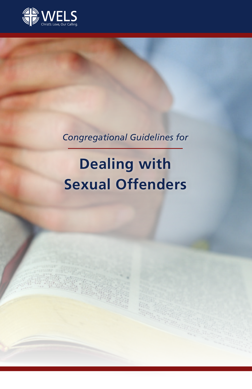

# *Congregational Guidelines for*

# **Dealing with Sexual Offenders**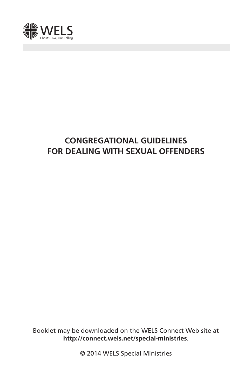

# **CONGREGATIONAL GUIDELINES FOR DEALING WITH SEXUAL OFFENDERS**

Booklet may be downloaded on the WELS Connect Web site at **http://connect.wels.net/special-ministries**.

© 2014 WELS Special Ministries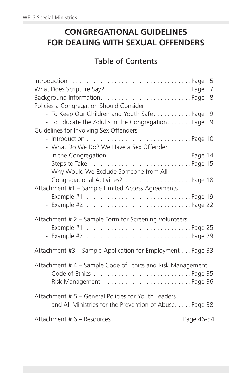# **CONGREGATIONAL GUIDELINES FOR DEALING WITH SEXUAL OFFENDERS**

## Table of Contents

|                                                                                                                | 5<br>7 |
|----------------------------------------------------------------------------------------------------------------|--------|
| Policies a Congregation Should Consider                                                                        | 8      |
| - To Keep Our Children and Youth SafePage<br>- To Educate the Adults in the CongregationPage                   | 9<br>9 |
| Guidelines for Involving Sex Offenders                                                                         |        |
| - What Do We Do? We Have a Sex Offender                                                                        |        |
| in the Congregation $\ldots \ldots \ldots \ldots \ldots \ldots \ldots$ . Page 14                               |        |
| - Why Would We Exclude Someone from All                                                                        |        |
| Attachment #1 - Sample Limited Access Agreements                                                               |        |
|                                                                                                                |        |
| Attachment # 2 – Sample Form for Screening Volunteers                                                          |        |
| Attachment #3 - Sample Application for Employment Page 33                                                      |        |
| Attachment #4 - Sample Code of Ethics and Risk Management<br>- Risk Management Page 36                         |        |
| Attachment # 5 - General Policies for Youth Leaders<br>and All Ministries for the Prevention of Abuse. Page 38 |        |
|                                                                                                                |        |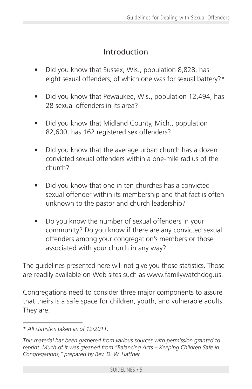## Introduction

- Did you know that Sussex, Wis., population 8,828, has eight sexual offenders, of which one was for sexual battery?\*
- Did you know that Pewaukee, Wis., population 12,494, has 28 sexual offenders in its area?
- Did you know that Midland County, Mich., population 82,600, has 162 registered sex offenders?
- Did you know that the average urban church has a dozen convicted sexual offenders within a one-mile radius of the church?
- Did you know that one in ten churches has a convicted sexual offender within its membership and that fact is often unknown to the pastor and church leadership?
- Do you know the number of sexual offenders in your community? Do you know if there are any convicted sexual offenders among your congregation's members or those associated with your church in any way?

The guidelines presented here will not give you those statistics. Those are readily available on Web sites such as www.familywatchdog.us.

Congregations need to consider three major components to assure that theirs is a safe space for children, youth, and vulnerable adults. They are:

<sup>\*</sup> *All statistics taken as of 12/2011.*

*This material has been gathered from various sources with permission granted to reprint. Much of it was gleaned from "Balancing Acts – Keeping Children Safe in Congregations," prepared by Rev. D. W. Haffner.*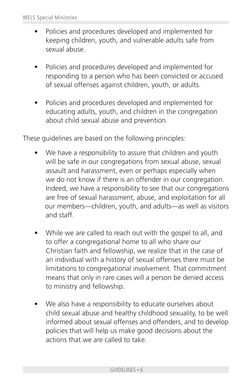- Policies and procedures developed and implemented for keeping children, youth, and vulnerable adults safe from sexual abuse.
- Policies and procedures developed and implemented for responding to a person who has been convicted or accused of sexual offenses against children, youth, or adults.
- Policies and procedures developed and implemented for educating adults, youth, and children in the congregation about child sexual abuse and prevention.

These guidelines are based on the following principles:

- We have a responsibility to assure that children and youth will be safe in our congregations from sexual abuse, sexual assault and harassment, even or perhaps especially when we do not know if there is an offender in our congregation. Indeed, we have a responsibility to see that our congregations are free of sexual harassment, abuse, and exploitation for all our members—children, youth, and adults—as well as visitors and staff.
- While we are called to reach out with the gospel to all, and to offer a congregational home to all who share our Christian faith and fellowship, we realize that in the case of an individual with a history of sexual offenses there must be limitations to congregational involvement. That commitment means that only in rare cases will a person be denied access to ministry and fellowship.
- We also have a responsibility to educate ourselves about child sexual abuse and healthy childhood sexuality, to be well informed about sexual offenses and offenders, and to develop policies that will help us make good decisions about the actions that we are called to take.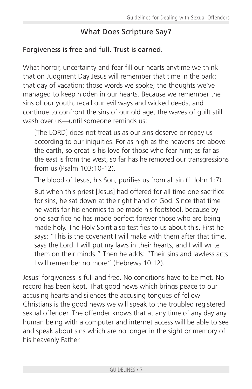## What Does Scripture Say?

#### Forgiveness is free and full. Trust is earned.

What horror, uncertainty and fear fill our hearts anytime we think that on Judgment Day Jesus will remember that time in the park; that day of vacation; those words we spoke; the thoughts we've managed to keep hidden in our hearts. Because we remember the sins of our youth, recall our evil ways and wicked deeds, and continue to confront the sins of our old age, the waves of guilt still wash over us—until someone reminds us:

[The LORD] does not treat us as our sins deserve or repay us according to our iniquities. For as high as the heavens are above the earth, so great is his love for those who fear him; as far as the east is from the west, so far has he removed our transgressions from us (Psalm 103:10-12).

The blood of Jesus, his Son, purifies us from all sin (1 John 1:7).

But when this priest [Jesus] had offered for all time one sacrifice for sins, he sat down at the right hand of God. Since that time he waits for his enemies to be made his footstool, because by one sacrifice he has made perfect forever those who are being made holy. The Holy Spirit also testifies to us about this. First he says: "This is the covenant I will make with them after that time, says the Lord. I will put my laws in their hearts, and I will write them on their minds." Then he adds: "Their sins and lawless acts I will remember no more" (Hebrews 10:12).

Jesus' forgiveness is full and free. No conditions have to be met. No record has been kept. That good news which brings peace to our accusing hearts and silences the accusing tongues of fellow Christians is the good news we will speak to the troubled registered sexual offender. The offender knows that at any time of any day any human being with a computer and internet access will be able to see and speak about sins which are no longer in the sight or memory of his heavenly Father.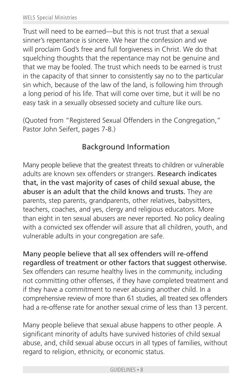Trust will need to be earned—but this is not trust that a sexual sinner's repentance is sincere. We hear the confession and we will proclaim God's free and full forgiveness in Christ. We do that squelching thoughts that the repentance may not be genuine and that we may be fooled. The trust which needs to be earned is trust in the capacity of that sinner to consistently say no to the particular sin which, because of the law of the land, is following him through a long period of his life. That will come over time, but it will be no easy task in a sexually obsessed society and culture like ours.

(Quoted from "Registered Sexual Offenders in the Congregation," Pastor John Seifert, pages 7-8.)

## Background Information

Many people believe that the greatest threats to children or vulnerable adults are known sex offenders or strangers. Research indicates that, in the vast majority of cases of child sexual abuse, the abuser is an adult that the child knows and trusts. They are parents, step parents, grandparents, other relatives, babysitters, teachers, coaches, and yes, clergy and religious educators. More than eight in ten sexual abusers are never reported. No policy dealing with a convicted sex offender will assure that all children, youth, and vulnerable adults in your congregation are safe.

Many people believe that all sex offenders will re-offend regardless of treatment or other factors that suggest otherwise. Sex offenders can resume healthy lives in the community, including not committing other offenses, if they have completed treatment and if they have a commitment to never abusing another child. In a comprehensive review of more than 61 studies, all treated sex offenders had a re-offense rate for another sexual crime of less than 13 percent.

Many people believe that sexual abuse happens to other people. A significant minority of adults have survived histories of child sexual abuse, and, child sexual abuse occurs in all types of families, without regard to religion, ethnicity, or economic status.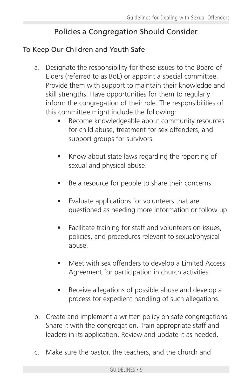## Policies a Congregation Should Consider

## To Keep Our Children and Youth Safe

- a. Designate the responsibility for these issues to the Board of Elders (referred to as BoE) or appoint a special committee. Provide them with support to maintain their knowledge and skill strengths. Have opportunities for them to regularly inform the congregation of their role. The responsibilities of this committee might include the following:
	- Become knowledgeable about community resources for child abuse, treatment for sex offenders, and support groups for survivors.
	- Know about state laws regarding the reporting of sexual and physical abuse.
	- Be a resource for people to share their concerns.
	- Evaluate applications for volunteers that are questioned as needing more information or follow up.
	- Facilitate training for staff and volunteers on issues, policies, and procedures relevant to sexual/physical abuse.
	- Meet with sex offenders to develop a Limited Access Agreement for participation in church activities.
	- Receive allegations of possible abuse and develop a process for expedient handling of such allegations.
- b. Create and implement a written policy on safe congregations. Share it with the congregation. Train appropriate staff and leaders in its application. Review and update it as needed.
- c. Make sure the pastor, the teachers, and the church and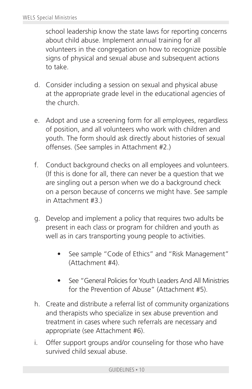school leadership know the state laws for reporting concerns about child abuse. Implement annual training for all volunteers in the congregation on how to recognize possible signs of physical and sexual abuse and subsequent actions to take.

- d. Consider including a session on sexual and physical abuse at the appropriate grade level in the educational agencies of the church.
- e. Adopt and use a screening form for all employees, regardless of position, and all volunteers who work with children and youth. The form should ask directly about histories of sexual offenses. (See samples in Attachment #2.)
- f. Conduct background checks on all employees and volunteers. (If this is done for all, there can never be a question that we are singling out a person when we do a background check on a person because of concerns we might have. See sample in Attachment #3.)
- g. Develop and implement a policy that requires two adults be present in each class or program for children and youth as well as in cars transporting young people to activities.
	- See sample "Code of Ethics" and "Risk Management" (Attachment #4).
	- See "General Policies for Youth Leaders And All Ministries for the Prevention of Abuse" (Attachment #5).
- h. Create and distribute a referral list of community organizations and therapists who specialize in sex abuse prevention and treatment in cases where such referrals are necessary and appropriate (see Attachment #6).
- i. Offer support groups and/or counseling for those who have survived child sexual abuse.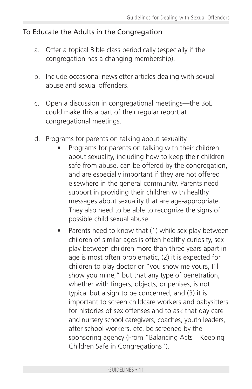#### To Educate the Adults in the Congregation

- a. Offer a topical Bible class periodically (especially if the congregation has a changing membership).
- b. Include occasional newsletter articles dealing with sexual abuse and sexual offenders.
- c. Open a discussion in congregational meetings—the BoE could make this a part of their regular report at congregational meetings.
- d. Programs for parents on talking about sexuality.
	- Programs for parents on talking with their children about sexuality, including how to keep their children safe from abuse, can be offered by the congregation, and are especially important if they are not offered elsewhere in the general community. Parents need support in providing their children with healthy messages about sexuality that are age-appropriate. They also need to be able to recognize the signs of possible child sexual abuse.
	- Parents need to know that (1) while sex play between children of similar ages is often healthy curiosity, sex play between children more than three years apart in age is most often problematic, (2) it is expected for children to play doctor or "you show me yours, I'll show you mine," but that any type of penetration, whether with fingers, objects, or penises, is not typical but a sign to be concerned, and (3) it is important to screen childcare workers and babysitters for histories of sex offenses and to ask that day care and nursery school caregivers, coaches, youth leaders, after school workers, etc. be screened by the sponsoring agency (From "Balancing Acts – Keeping Children Safe in Congregations").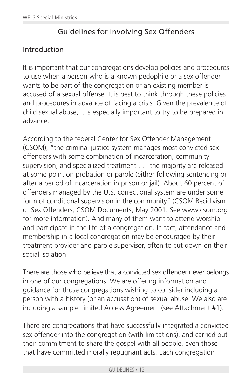## Guidelines for Involving Sex Offenders

#### Introduction

It is important that our congregations develop policies and procedures to use when a person who is a known pedophile or a sex offender wants to be part of the congregation or an existing member is accused of a sexual offense. It is best to think through these policies and procedures in advance of facing a crisis. Given the prevalence of child sexual abuse, it is especially important to try to be prepared in advance.

According to the federal Center for Sex Offender Management (CSOM), "the criminal justice system manages most convicted sex offenders with some combination of incarceration, community supervision, and specialized treatment ... the majority are released at some point on probation or parole (either following sentencing or after a period of incarceration in prison or jail). About 60 percent of offenders managed by the U.S. correctional system are under some form of conditional supervision in the community" (CSOM Recidivism of Sex Offenders, CSOM Documents, May 2001. See www.csom.org for more information). And many of them want to attend worship and participate in the life of a congregation. In fact, attendance and membership in a local congregation may be encouraged by their treatment provider and parole supervisor, often to cut down on their social isolation.

There are those who believe that a convicted sex offender never belongs in one of our congregations. We are offering information and guidance for those congregations wishing to consider including a person with a history (or an accusation) of sexual abuse. We also are including a sample Limited Access Agreement (see Attachment #1).

There are congregations that have successfully integrated a convicted sex offender into the congregation (with limitations), and carried out their commitment to share the gospel with all people, even those that have committed morally repugnant acts. Each congregation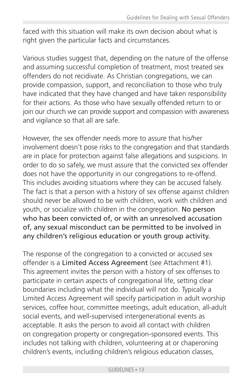faced with this situation will make its own decision about what is right given the particular facts and circumstances.

Various studies suggest that, depending on the nature of the offense and assuming successful completion of treatment, most treated sex offenders do not recidivate. As Christian congregations, we can provide compassion, support, and reconciliation to those who truly have indicated that they have changed and have taken responsibility for their actions. As those who have sexually offended return to or join our church we can provide support and compassion with awareness and vigilance so that all are safe.

However, the sex offender needs more to assure that his/her involvement doesn't pose risks to the congregation and that standards are in place for protection against false allegations and suspicions. In order to do so safely, we must assure that the convicted sex offender does not have the opportunity in our congregations to re-offend. This includes avoiding situations where they can be accused falsely. The fact is that a person with a history of sex offense against children should never be allowed to be with children, work with children and youth, or socialize with children in the congregation. No person who has been convicted of, or with an unresolved accusation of, any sexual misconduct can be permitted to be involved in any children's religious education or youth group activity.

The response of the congregation to a convicted or accused sex offender is a Limited Access Agreement (see Attachment #1). This agreement invites the person with a history of sex offenses to participate in certain aspects of congregational life, setting clear boundaries including what the individual will not do. Typically a Limited Access Agreement will specify participation in adult worship services, coffee hour, committee meetings, adult education, all-adult social events, and well-supervised intergenerational events as acceptable. It asks the person to avoid all contact with children on congregation property or congregation-sponsored events. This includes not talking with children, volunteering at or chaperoning children's events, including children's religious education classes,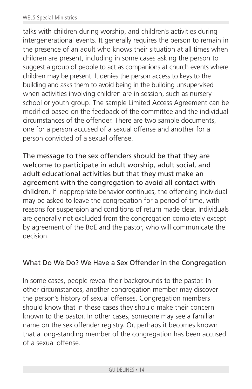talks with children during worship, and children's activities during intergenerational events. It generally requires the person to remain in the presence of an adult who knows their situation at all times when children are present, including in some cases asking the person to suggest a group of people to act as companions at church events where children may be present. It denies the person access to keys to the building and asks them to avoid being in the building unsupervised when activities involving children are in session, such as nursery school or youth group. The sample Limited Access Agreement can be modified based on the feedback of the committee and the individual circumstances of the offender. There are two sample documents, one for a person accused of a sexual offense and another for a person convicted of a sexual offense.

The message to the sex offenders should be that they are welcome to participate in adult worship, adult social, and adult educational activities but that they must make an agreement with the congregation to avoid all contact with children. If inappropriate behavior continues, the offending individual may be asked to leave the congregation for a period of time, with reasons for suspension and conditions of return made clear. Individuals are generally not excluded from the congregation completely except by agreement of the BoE and the pastor, who will communicate the decision.

#### What Do We Do? We Have a Sex Offender in the Congregation

In some cases, people reveal their backgrounds to the pastor. In other circumstances, another congregation member may discover the person's history of sexual offenses. Congregation members should know that in these cases they should make their concern known to the pastor. In other cases, someone may see a familiar name on the sex offender registry. Or, perhaps it becomes known that a long-standing member of the congregation has been accused of a sexual offense.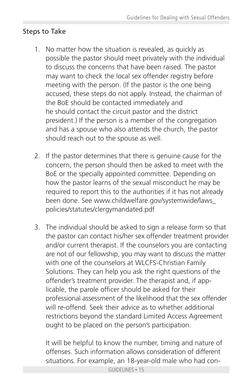## Steps to Take

- 1. No matter how the situation is revealed, as quickly as possible the pastor should meet privately with the individual to discuss the concerns that have been raised. The pastor may want to check the local sex offender registry before meeting with the person. (If the pastor is the one being accused, these steps do not apply. Instead, the chairman of the BoE should be contacted immediately and he should contact the circuit pastor and the district president.) If the person is a member of the congregation and has a spouse who also attends the church, the pastor should reach out to the spouse as well.
- 2. If the pastor determines that there is genuine cause for the concern, the person should then be asked to meet with the BoE or the specially appointed committee. Depending on how the pastor learns of the sexual misconduct he may be required to report this to the authorities if it has not already been done. See www.childwelfare.gov/systemwide/laws\_ policies/statutes/clergymandated.pdf
- 3. The individual should be asked to sign a release form so that the pastor can contact his/her sex offender treatment provider and/or current therapist. If the counselors you are contacting are not of our fellowship, you may want to discuss the matter with one of the counselors at WLCFS-Christian Family Solutions. They can help you ask the right questions of the offender's treatment provider. The therapist and, if app licable, the parole officer should be asked for their professional assessment of the likelihood that the sex offender will re-offend. Seek their advice as to whether additional restrictions beyond the standard Limited Access Agreement ought to be placed on the person's participation.

 It will be helpful to know the number, timing and nature of offenses. Such information allows consideration of different situations. For example, an 18-year-old male who had con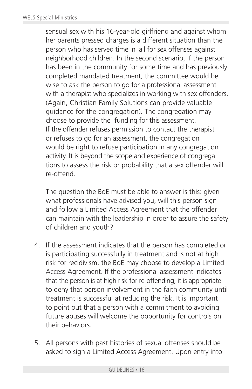sensual sex with his 16-year-old girlfriend and against whom her parents pressed charges is a different situation than the person who has served time in jail for sex offenses against neighborhood children. In the second scenario, if the person has been in the community for some time and has previously completed mandated treatment, the committee would be wise to ask the person to go for a professional assessment with a therapist who specializes in working with sex offenders. (Again, Christian Family Solutions can provide valuable guidance for the congregation). The congregation may choose to provide the funding for this assessment. If the offender refuses permission to contact the therapist or refuses to go for an assessment, the congregation would be right to refuse participation in any congregation activity. It is beyond the scope and experience of congrega tions to assess the risk or probability that a sex offender will re-offend.

 The question the BoE must be able to answer is this: given what professionals have advised you, will this person sign and follow a Limited Access Agreement that the offender can maintain with the leadership in order to assure the safety of children and youth?

- 4. If the assessment indicates that the person has completed or is participating successfully in treatment and is not at high risk for recidivism, the BoE may choose to develop a Limited Access Agreement. If the professional assessment indicates that the person is at high risk for re-offending, it is appropriate to deny that person involvement in the faith community until treatment is successful at reducing the risk. It is important to point out that a person with a commitment to avoiding future abuses will welcome the opportunity for controls on their behaviors.
- 5. All persons with past histories of sexual offenses should be asked to sign a Limited Access Agreement. Upon entry into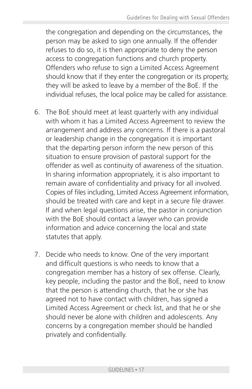the congregation and depending on the circumstances, the person may be asked to sign one annually. If the offender refuses to do so, it is then appropriate to deny the person access to congregation functions and church property. Offenders who refuse to sign a Limited Access Agreement should know that if they enter the congregation or its property, they will be asked to leave by a member of the BoE. If the individual refuses, the local police may be called for assistance.

- 6. The BoE should meet at least quarterly with any individual with whom it has a Limited Access Agreement to review the arrangement and address any concerns. If there is a pastoral or leadership change in the congregation it is important that the departing person inform the new person of this situation to ensure provision of pastoral support for the offender as well as continuity of awareness of the situation. In sharing information appropriately, it is also important to remain aware of confidentiality and privacy for all involved. Copies of files including, Limited Access Agreement information, should be treated with care and kept in a secure file drawer. If and when legal questions arise, the pastor in conjunction with the BoE should contact a lawyer who can provide information and advice concerning the local and state statutes that apply.
- 7. Decide who needs to know. One of the very important and difficult questions is who needs to know that a congregation member has a history of sex offense. Clearly, key people, including the pastor and the BoE, need to know that the person is attending church, that he or she has agreed not to have contact with children, has signed a Limited Access Agreement or check list, and that he or she should never be alone with children and adolescents. Any concerns by a congregation member should be handled privately and confidentially.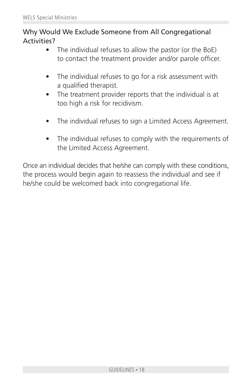## Why Would We Exclude Someone from All Congregational Activities?

- The individual refuses to allow the pastor (or the BoE) to contact the treatment provider and/or parole officer.
- The individual refuses to go for a risk assessment with a qualified therapist.
- The treatment provider reports that the individual is at too high a risk for recidivism.
- The individual refuses to sign a Limited Access Agreement.
- The individual refuses to comply with the requirements of the Limited Access Agreement.

Once an individual decides that he/she can comply with these conditions, the process would begin again to reassess the individual and see if he/she could be welcomed back into congregational life.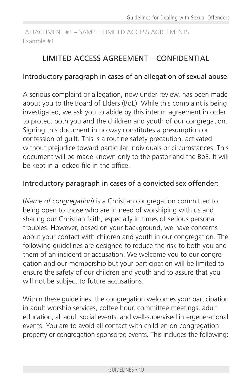#### ATTACHMENT #1 – SAMPLE LIMITED ACCESS AGREEMENTS Example #1

## LIMITED ACCESS AGREEMENT – CONFIDENTIAL

#### Introductory paragraph in cases of an allegation of sexual abuse:

A serious complaint or allegation, now under review, has been made about you to the Board of Elders (BoE). While this complaint is being investigated, we ask you to abide by this interim agreement in order to protect both you and the children and youth of our congregation. Signing this document in no way constitutes a presumption or confession of guilt. This is a routine safety precaution, activated without prejudice toward particular individuals or circumstances. This document will be made known only to the pastor and the BoE. It will be kept in a locked file in the office.

#### Introductory paragraph in cases of a convicted sex offender:

(*Name of congregation*) is a Christian congregation committed to being open to those who are in need of worshiping with us and sharing our Christian faith, especially in times of serious personal troubles. However, based on your background, we have concerns about your contact with children and youth in our congregation. The following guidelines are designed to reduce the risk to both you and them of an incident or accusation. We welcome you to our congregation and our membership but your participation will be limited to ensure the safety of our children and youth and to assure that you will not be subject to future accusations.

Within these guidelines, the congregation welcomes your participation in adult worship services, coffee hour, committee meetings, adult education, all adult social events, and well-supervised intergenerational events. You are to avoid all contact with children on congregation property or congregation-sponsored events. This includes the following: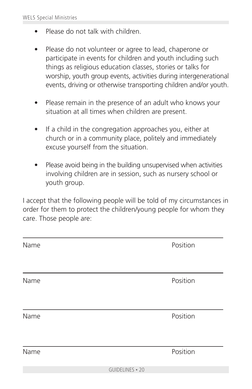- Please do not talk with children.
- Please do not volunteer or agree to lead, chaperone or participate in events for children and youth including such things as religious education classes, stories or talks for worship, youth group events, activities during intergenerational events, driving or otherwise transporting children and/or youth.
- Please remain in the presence of an adult who knows your situation at all times when children are present.
- If a child in the congregation approaches you, either at church or in a community place, politely and immediately excuse yourself from the situation.
- Please avoid being in the building unsupervised when activities involving children are in session, such as nursery school or youth group.

I accept that the following people will be told of my circumstances in order for them to protect the children/young people for whom they care. Those people are:

| Name |                 | Position |
|------|-----------------|----------|
|      |                 |          |
| Name |                 | Position |
|      |                 |          |
| Name |                 | Position |
|      |                 |          |
| Name |                 | Position |
|      | GUIDELINES . 20 |          |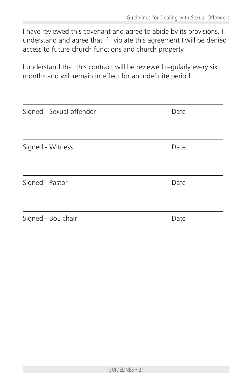I have reviewed this covenant and agree to abide by its provisions. I understand and agree that if I violate this agreement I will be denied access to future church functions and church property.

I understand that this contract will be reviewed regularly every six months and will remain in effect for an indefinite period.

| Signed - Sexual offender | Date |
|--------------------------|------|
| Signed - Witness         | Date |
| Signed - Pastor          | Date |
|                          |      |
| Signed - BoE chair       | Date |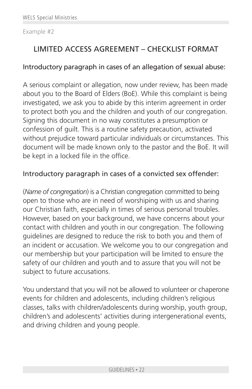#### Example #2

## LIMITED ACCESS AGREEMENT – CHECKLIST FORMAT

#### Introductory paragraph in cases of an allegation of sexual abuse:

A serious complaint or allegation, now under review, has been made about you to the Board of Elders (BoE). While this complaint is being investigated, we ask you to abide by this interim agreement in order to protect both you and the children and youth of our congregation. Signing this document in no way constitutes a presumption or confession of guilt. This is a routine safety precaution, activated without prejudice toward particular individuals or circumstances. This document will be made known only to the pastor and the BoE. It will be kept in a locked file in the office.

#### Introductory paragraph in cases of a convicted sex offender:

(*Name of congregation*) is a Christian congregation committed to being open to those who are in need of worshiping with us and sharing our Christian faith, especially in times of serious personal troubles. However, based on your background, we have concerns about your contact with children and youth in our congregation. The following guidelines are designed to reduce the risk to both you and them of an incident or accusation. We welcome you to our congregation and our membership but your participation will be limited to ensure the safety of our children and youth and to assure that you will not be subject to future accusations.

You understand that you will not be allowed to volunteer or chaperone events for children and adolescents, including children's religious classes, talks with children/adolescents during worship, youth group, children's and adolescents' activities during intergenerational events, and driving children and young people.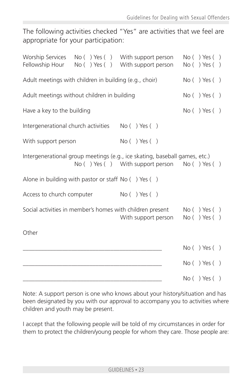The following activities checked "Yes" are activities that we feel are appropriate for your participation:

| Fellowship Hour                                        | Worship Services No () Yes () With support person<br>No () Yes () With support person                                       | No( ) Yes( )<br>No( ) Yes( ) |
|--------------------------------------------------------|-----------------------------------------------------------------------------------------------------------------------------|------------------------------|
| Adult meetings with children in building (e.g., choir) |                                                                                                                             | No( ) Yes( )                 |
| Adult meetings without children in building            |                                                                                                                             | No( ) Yes( )                 |
| Have a key to the building                             |                                                                                                                             | No( ) Yes( )                 |
| Intergenerational church activities                    | No( ) Yes( )                                                                                                                |                              |
| With support person                                    | No( ) Yes( )                                                                                                                |                              |
|                                                        | Intergenerational group meetings (e.g., ice skating, baseball games, etc.)<br>No () Yes () With support person No () Yes () |                              |
| Alone in building with pastor or staff $No( ) Yes( )$  |                                                                                                                             |                              |
| Access to church computer                              | No( ) Yes( )                                                                                                                |                              |
|                                                        | Social activities in member's homes with children present<br>With support person                                            | No( ) Yes( )<br>No( ) Yes( ) |
| Other                                                  |                                                                                                                             |                              |
|                                                        |                                                                                                                             | No( ) Yes( )                 |
|                                                        |                                                                                                                             | No( ) Yes( )                 |
|                                                        |                                                                                                                             | No( ) Yes( )                 |

Note: A support person is one who knows about your history/situation and has been designated by you with our approval to accompany you to activities where children and youth may be present.

I accept that the following people will be told of my circumstances in order for them to protect the children/young people for whom they care. Those people are: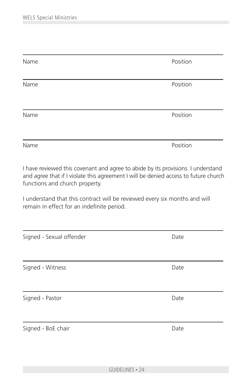| Name | Position |
|------|----------|
| Name | Position |
| Name | Position |
| Name | Position |

I have reviewed this covenant and agree to abide by its provisions. I understand and agree that if I violate this agreement I will be denied access to future church functions and church property.

I understand that this contract will be reviewed every six months and will remain in effect for an indefinite period.

| Signed - Sexual offender | Date |  |
|--------------------------|------|--|
|                          |      |  |
| Signed - Witness         | Date |  |
|                          |      |  |
| Signed - Pastor          | Date |  |
|                          |      |  |
| Signed - BoE chair       | Date |  |
|                          |      |  |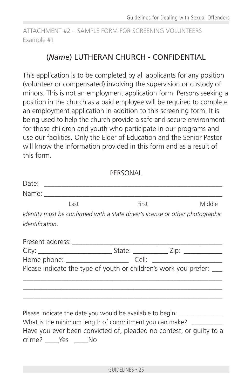ATTACHMENT #2 – SAMPLE FORM FOR SCREENING VOLUNTEERS Example #1

## (*Name*) LUTHERAN CHURCH - CONFIDENTIAL

This application is to be completed by all applicants for any position (volunteer or compensated) involving the supervision or custody of minors. This is not an employment application form. Persons seeking a position in the church as a paid employee will be required to complete an employment application in addition to this screening form. It is being used to help the church provide a safe and secure environment for those children and youth who participate in our programs and use our facilities. Only the Elder of Education and the Senior Pastor will know the information provided in this form and as a result of this form.

|                        |                         | PERSONAL |                                                                                |
|------------------------|-------------------------|----------|--------------------------------------------------------------------------------|
|                        |                         |          |                                                                                |
|                        |                         |          |                                                                                |
|                        | Last                    | First    | Middle                                                                         |
|                        |                         |          | Identity must be confirmed with a state driver's license or other photographic |
| <i>identification.</i> |                         |          |                                                                                |
|                        |                         |          |                                                                                |
|                        |                         |          |                                                                                |
|                        |                         |          |                                                                                |
|                        |                         |          | Please indicate the type of youth or children's work you prefer: ___           |
|                        |                         |          |                                                                                |
|                        |                         |          |                                                                                |
|                        |                         |          | Please indicate the date you would be available to begin: _______________      |
|                        |                         |          | What is the minimum length of commitment you can make? ___________             |
|                        | crime? _____Yes _____No |          | Have you ever been convicted of, pleaded no contest, or guilty to a            |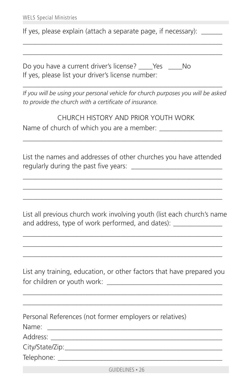If yes, please explain (attach a separate page, if necessary): \_\_\_\_\_\_

\_\_\_\_\_\_\_\_\_\_\_\_\_\_\_\_\_\_\_\_\_\_\_\_\_\_\_\_\_\_\_\_\_\_\_\_\_\_\_\_\_\_\_\_\_\_\_\_\_\_\_\_\_\_\_\_\_ \_\_\_\_\_\_\_\_\_\_\_\_\_\_\_\_\_\_\_\_\_\_\_\_\_\_\_\_\_\_\_\_\_\_\_\_\_\_\_\_\_\_\_\_\_\_\_\_\_\_\_\_\_\_\_\_\_

Do you have a current driver's license? Yes No If yes, please list your driver's license number:

*If you will be using your personal vehicle for church purposes you will be asked to provide the church with a certificate of insurance.*

\_\_\_\_\_\_\_\_\_\_\_\_\_\_\_\_\_\_\_\_\_\_\_\_\_\_\_\_\_\_\_\_\_\_\_\_\_\_\_\_\_\_\_\_\_\_\_\_\_\_\_\_\_\_\_\_\_

CHURCH HISTORY AND PRIOR YOUTH WORK Name of church of which you are a member:

List the names and addresses of other churches you have attended regularly during the past five years:

\_\_\_\_\_\_\_\_\_\_\_\_\_\_\_\_\_\_\_\_\_\_\_\_\_\_\_\_\_\_\_\_\_\_\_\_\_\_\_\_\_\_\_\_\_\_\_\_\_\_\_\_\_\_\_\_\_ \_\_\_\_\_\_\_\_\_\_\_\_\_\_\_\_\_\_\_\_\_\_\_\_\_\_\_\_\_\_\_\_\_\_\_\_\_\_\_\_\_\_\_\_\_\_\_\_\_\_\_\_\_\_\_\_\_ \_\_\_\_\_\_\_\_\_\_\_\_\_\_\_\_\_\_\_\_\_\_\_\_\_\_\_\_\_\_\_\_\_\_\_\_\_\_\_\_\_\_\_\_\_\_\_\_\_\_\_\_\_\_\_\_\_

\_\_\_\_\_\_\_\_\_\_\_\_\_\_\_\_\_\_\_\_\_\_\_\_\_\_\_\_\_\_\_\_\_\_\_\_\_\_\_\_\_\_\_\_\_\_\_\_\_\_\_\_\_\_\_\_\_

List all previous church work involving youth (list each church's name and address, type of work performed, and dates):

\_\_\_\_\_\_\_\_\_\_\_\_\_\_\_\_\_\_\_\_\_\_\_\_\_\_\_\_\_\_\_\_\_\_\_\_\_\_\_\_\_\_\_\_\_\_\_\_\_\_\_\_\_\_\_\_\_ \_\_\_\_\_\_\_\_\_\_\_\_\_\_\_\_\_\_\_\_\_\_\_\_\_\_\_\_\_\_\_\_\_\_\_\_\_\_\_\_\_\_\_\_\_\_\_\_\_\_\_\_\_\_\_\_\_ \_\_\_\_\_\_\_\_\_\_\_\_\_\_\_\_\_\_\_\_\_\_\_\_\_\_\_\_\_\_\_\_\_\_\_\_\_\_\_\_\_\_\_\_\_\_\_\_\_\_\_\_\_\_\_\_\_

List any training, education, or other factors that have prepared you for children or youth work: \_\_\_\_\_\_\_\_\_\_\_\_\_\_\_\_\_\_\_\_\_\_\_\_\_\_\_\_\_\_\_\_\_

\_\_\_\_\_\_\_\_\_\_\_\_\_\_\_\_\_\_\_\_\_\_\_\_\_\_\_\_\_\_\_\_\_\_\_\_\_\_\_\_\_\_\_\_\_\_\_\_\_\_\_\_\_\_\_\_\_ \_\_\_\_\_\_\_\_\_\_\_\_\_\_\_\_\_\_\_\_\_\_\_\_\_\_\_\_\_\_\_\_\_\_\_\_\_\_\_\_\_\_\_\_\_\_\_\_\_\_\_\_\_\_\_\_\_

Personal References (not former employers or relatives)

Name: \_\_\_\_\_\_\_\_\_\_\_\_\_\_\_\_\_\_\_\_\_\_\_\_\_\_\_\_\_\_\_\_\_\_\_\_\_\_\_\_\_\_\_\_\_\_\_\_\_\_

Address: \_\_\_\_\_\_\_\_\_\_\_\_\_\_\_\_\_\_\_\_\_\_\_\_\_\_\_\_\_\_\_\_\_\_\_\_\_\_\_\_\_\_\_\_\_\_\_\_\_

City/State/Zip:\_\_\_\_\_\_\_\_\_\_\_\_\_\_\_\_\_\_\_\_\_\_\_\_\_\_\_\_\_\_\_\_\_\_\_\_\_\_\_\_\_\_\_\_\_

Telephone: \_\_\_\_\_\_\_\_\_\_\_\_\_\_\_\_\_\_\_\_\_\_\_\_\_\_\_\_\_\_\_\_\_\_\_\_\_\_\_\_\_\_\_\_\_\_\_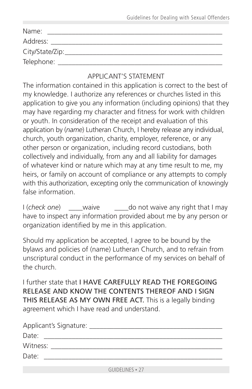| Name:            |
|------------------|
| Address:         |
| City/State/Zip:_ |
| Telephone:       |

#### APPLICANT'S STATEMENT

The information contained in this application is correct to the best of my knowledge. I authorize any references or churches listed in this application to give you any information (including opinions) that they may have regarding my character and fitness for work with children or youth. In consideration of the receipt and evaluation of this application by (*name*) Lutheran Church, I hereby release any individual, church, youth organization, charity, employer, reference, or any other person or organization, including record custodians, both collectively and individually, from any and all liability for damages of whatever kind or nature which may at any time result to me, my heirs, or family on account of compliance or any attempts to comply with this authorization, excepting only the communication of knowingly false information.

I (*check one*) waive do not waive any right that I may have to inspect any information provided about me by any person or organization identified by me in this application.

Should my application be accepted, I agree to be bound by the bylaws and policies of (name) Lutheran Church, and to refrain from unscriptural conduct in the performance of my services on behalf of the church.

I further state that I HAVE CAREFULLY READ THE FOREGOING RELEASE AND KNOW THE CONTENTS THEREOF AND I SIGN THIS RELEASE AS MY OWN FREE ACT. This is a legally binding agreement which I have read and understand.

| Applicant's Signature: ________________ |  |
|-----------------------------------------|--|
| Date:                                   |  |
| Witness:                                |  |
| Date:                                   |  |
|                                         |  |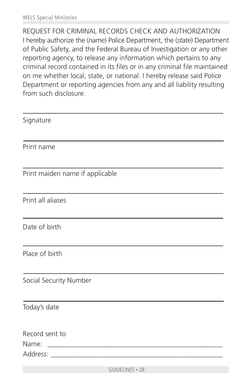REQUEST FOR CRIMINAL RECORDS CHECK AND AUTHORIZATION I hereby authorize the (*name*) Police Department, the (*state*) Department of Public Safety, and the Federal Bureau of Investigation or any other reporting agency, to release any information which pertains to any criminal record contained in its files or in any criminal file maintained on me whether local, state, or national. I hereby release said Police Department or reporting agencies from any and all liability resulting from such disclosure.

| Signature                       |
|---------------------------------|
| Print name                      |
| Print maiden name if applicable |
| Print all aliases               |
| Date of birth                   |
| Place of birth                  |
| Social Security Number          |
| Today's date                    |
| Record sent to                  |
|                                 |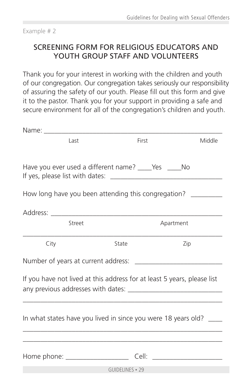Example # 2

## SCREENING FORM FOR RELIGIOUS EDUCATORS AND YOUTH GROUP STAFF AND VOLUNTEERS

Thank you for your interest in working with the children and youth of our congregation. Our congregation takes seriously our responsibility of assuring the safety of our youth. Please fill out this form and give it to the pastor. Thank you for your support in providing a safe and secure environment for all of the congregation's children and youth.

|                                                           | Last   | First           |                                                                         | Middle |
|-----------------------------------------------------------|--------|-----------------|-------------------------------------------------------------------------|--------|
|                                                           |        |                 |                                                                         |        |
| Have you ever used a different name? ______ Yes ______ No |        |                 |                                                                         |        |
|                                                           |        |                 | How long have you been attending this congregation?                     |        |
|                                                           |        |                 |                                                                         |        |
|                                                           | Street |                 | Apartment                                                               |        |
| City                                                      |        | State           | Zip                                                                     |        |
|                                                           |        |                 |                                                                         |        |
|                                                           |        |                 | If you have not lived at this address for at least 5 years, please list |        |
|                                                           |        |                 |                                                                         |        |
|                                                           |        |                 | In what states have you lived in since you were 18 years old? ____      |        |
|                                                           |        |                 |                                                                         |        |
|                                                           |        |                 |                                                                         |        |
|                                                           |        | GUIDELINES • 29 |                                                                         |        |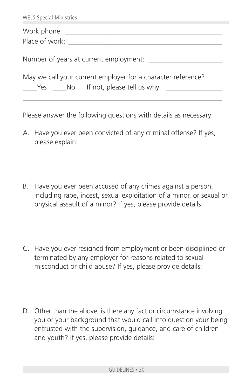| <b>WELS Special Ministries</b>                               |
|--------------------------------------------------------------|
| Work phone: _________________<br>Place of work:              |
|                                                              |
| May we call your current employer for a character reference? |

Please answer the following questions with details as necessary:

- A. Have you ever been convicted of any criminal offense? If yes, please explain:
- B. Have you ever been accused of any crimes against a person, including rape, incest, sexual exploitation of a minor, or sexual or physical assault of a minor? If yes, please provide details:
- C. Have you ever resigned from employment or been disciplined or terminated by any employer for reasons related to sexual misconduct or child abuse? If yes, please provide details:
- D. Other than the above, is there any fact or circumstance involving you or your background that would call into question your being entrusted with the supervision, guidance, and care of children and youth? If yes, please provide details: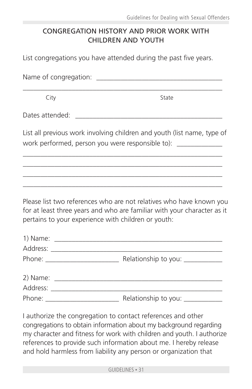#### CONGREGATION HISTORY AND PRIOR WORK WITH CHILDREN AND YOUTH

List congregations you have attended during the past five years.

Name of congregation: \_\_\_\_\_\_\_\_\_\_\_\_\_\_\_\_\_\_\_\_\_\_\_\_\_\_\_\_\_\_\_\_\_\_\_\_ \_\_\_\_\_\_\_\_\_\_\_\_\_\_\_\_\_\_\_\_\_\_\_\_\_\_\_\_\_\_\_\_\_\_\_\_\_\_\_\_\_\_\_\_\_\_\_\_\_\_\_\_\_\_\_\_\_

City State

Dates attended: \_\_\_\_\_\_\_\_\_\_\_\_\_\_\_\_\_\_\_\_\_\_\_\_\_\_\_\_\_\_\_\_\_\_\_\_\_\_\_\_\_\_

List all previous work involving children and youth (list name, type of work performed, person you were responsible to):

\_\_\_\_\_\_\_\_\_\_\_\_\_\_\_\_\_\_\_\_\_\_\_\_\_\_\_\_\_\_\_\_\_\_\_\_\_\_\_\_\_\_\_\_\_\_\_\_\_\_\_\_\_\_\_\_\_ \_\_\_\_\_\_\_\_\_\_\_\_\_\_\_\_\_\_\_\_\_\_\_\_\_\_\_\_\_\_\_\_\_\_\_\_\_\_\_\_\_\_\_\_\_\_\_\_\_\_\_\_\_\_\_\_\_ \_\_\_\_\_\_\_\_\_\_\_\_\_\_\_\_\_\_\_\_\_\_\_\_\_\_\_\_\_\_\_\_\_\_\_\_\_\_\_\_\_\_\_\_\_\_\_\_\_\_\_\_\_\_\_\_\_ \_\_\_\_\_\_\_\_\_\_\_\_\_\_\_\_\_\_\_\_\_\_\_\_\_\_\_\_\_\_\_\_\_\_\_\_\_\_\_\_\_\_\_\_\_\_\_\_\_\_\_\_\_\_\_\_\_

Please list two references who are not relatives who have known you for at least three years and who are familiar with your character as it pertains to your experience with children or youth:

| Relationship to you: ____________ |  |
|-----------------------------------|--|
|                                   |  |
|                                   |  |
|                                   |  |
| Relationship to you: ____________ |  |

I authorize the congregation to contact references and other congregations to obtain information about my background regarding my character and fitness for work with children and youth. I authorize references to provide such information about me. I hereby release and hold harmless from liability any person or organization that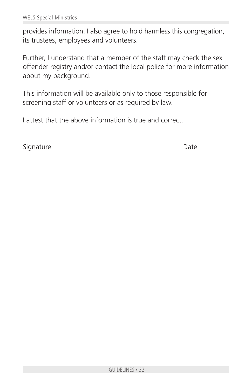provides information. I also agree to hold harmless this congregation, its trustees, employees and volunteers.

Further, I understand that a member of the staff may check the sex offender registry and/or contact the local police for more information about my background.

This information will be available only to those responsible for screening staff or volunteers or as required by law.

\_\_\_\_\_\_\_\_\_\_\_\_\_\_\_\_\_\_\_\_\_\_\_\_\_\_\_\_\_\_\_\_\_\_\_\_\_\_\_\_\_\_\_\_\_\_\_\_\_\_\_\_\_\_\_\_\_

I attest that the above information is true and correct.

Signature Date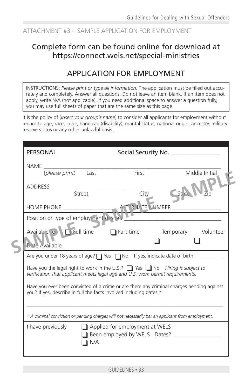#### ATTACHMENT #3 – SAMPLE APPLICATION FOR EMPLOYMENT

## Complete form can be found online for download at https://connect.wels.net/special-ministries

## APPLICATION FOR EMPLOYMENT

INSTRUCTIONS: *Please print or type all information.* The application must be filled out accurately and completely. Answer all questions. Do not leave an item blank. If an item does not apply, write N/A (not applicable). If you need additional space to answer a question fully, you may use full sheets of paper that are the same size as this page.

It is the policy of (*insert your group's name*) to consider all applicants for employment without regard to age, race, color, handicap (disability), marital status, national origin, ancestry, military reserve status or any other unlawful basis.

| <b>PERSONAL</b>                        |        |                                                                                                                                                                           | Social Security No. _______________                                                       |
|----------------------------------------|--------|---------------------------------------------------------------------------------------------------------------------------------------------------------------------------|-------------------------------------------------------------------------------------------|
|                                        |        |                                                                                                                                                                           |                                                                                           |
| (please print) Last                    |        | First                                                                                                                                                                     | Middle Initial                                                                            |
|                                        |        |                                                                                                                                                                           |                                                                                           |
|                                        | Street | City                                                                                                                                                                      | State                                                                                     |
|                                        |        |                                                                                                                                                                           |                                                                                           |
| Position or type of employment desired |        |                                                                                                                                                                           |                                                                                           |
| Date Available                         |        |                                                                                                                                                                           | Available to Full time <b>Detailled Part time</b> Temporary Volunteer                     |
|                                        |        |                                                                                                                                                                           | Are you under 18 years of age? T Yes T No If yes, indicate date of birth ________         |
|                                        |        | Have you the legal right to work in the U.S.? $\Box$ Yes $\Box$ No Hiring is subject to<br>verification that applicant meets legal age and U.S. work permit requirements. |                                                                                           |
|                                        |        | you? If yes, describe in full the facts involved including dates.*                                                                                                        | Have you ever been convicted of a crime or are there any criminal charges pending against |
|                                        |        | * A criminal conviction or pending charges will not necessarily bar an applicant from employment.                                                                         |                                                                                           |
|                                        | N/A    | I have previously $\Box$ Applied for employment at WELS<br>Been employed by WELS Dates? ______________                                                                    |                                                                                           |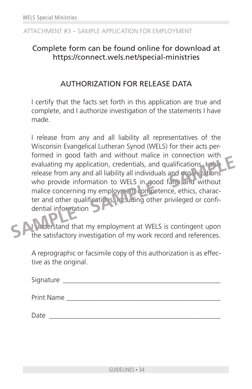#### ATTACHMENT #3 – SAMPLE APPLICATION FOR EMPLOYMENT

## Complete form can be found online for download at https://connect.wels.net/special-ministries

#### AUTHORIZATION FOR RELEASE DATA

I certify that the facts set forth in this application are true and complete, and I authorize investigation of the statements I have made.

I release from any and all liability all representatives of the Wisconsin Evangelical Lutheran Synod (WELS) for their acts performed in good faith and without malice in connection with evaluating my application, credentials, and qualifications. I also release from any and all liability all individuals and organizations who provide information to WELS in good faith and without malice concerning my employment competence, ethics, character and other qualifications, including other privileged or confidential information **SAMPLE III** you cannot and without make in connection with<br>evaluating my application, credentials, and qualifications Lase<br>release from any and all liability all individuals and organizations<br>who provide information to WE

In derstand that my employment at WELS is contingent upon the satisfactory investigation of my work record and references.

A reprographic or facsimile copy of this authorization is as effective as the original.

| Signature  |  |  |  |
|------------|--|--|--|
| Print Name |  |  |  |
| Date       |  |  |  |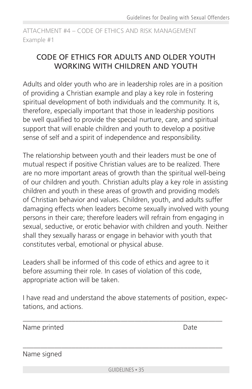ATTACHMENT #4 – CODE OF ETHICS AND RISK MANAGEMENT Example #1

## CODE OF ETHICS FOR ADULTS AND OLDER YOUTH WORKING WITH CHILDREN AND YOUTH

Adults and older youth who are in leadership roles are in a position of providing a Christian example and play a key role in fostering spiritual development of both individuals and the community. It is, therefore, especially important that those in leadership positions be well qualified to provide the special nurture, care, and spiritual support that will enable children and youth to develop a positive sense of self and a spirit of independence and responsibility.

The relationship between youth and their leaders must be one of mutual respect if positive Christian values are to be realized. There are no more important areas of growth than the spiritual well-being of our children and youth. Christian adults play a key role in assisting children and youth in these areas of growth and providing models of Christian behavior and values. Children, youth, and adults suffer damaging effects when leaders become sexually involved with young persons in their care; therefore leaders will refrain from engaging in sexual, seductive, or erotic behavior with children and youth. Neither shall they sexually harass or engage in behavior with youth that constitutes verbal, emotional or physical abuse.

Leaders shall be informed of this code of ethics and agree to it before assuming their role. In cases of violation of this code, appropriate action will be taken.

I have read and understand the above statements of position, expectations, and actions.

\_\_\_\_\_\_\_\_\_\_\_\_\_\_\_\_\_\_\_\_\_\_\_\_\_\_\_\_\_\_\_\_\_\_\_\_\_\_\_\_\_\_\_\_\_\_\_\_\_\_\_\_\_\_\_\_\_

\_\_\_\_\_\_\_\_\_\_\_\_\_\_\_\_\_\_\_\_\_\_\_\_\_\_\_\_\_\_\_\_\_\_\_\_\_\_\_\_\_\_\_\_\_\_\_\_\_\_\_\_\_\_\_\_\_

Name printed Date

Name signed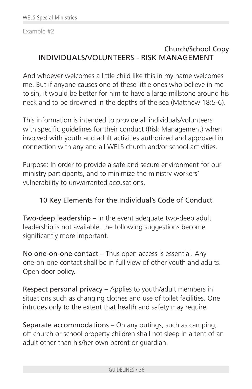Example #2

## Church/School Copy INDIVIDUALS/VOLUNTEERS - RISK MANAGEMENT

And whoever welcomes a little child like this in my name welcomes me. But if anyone causes one of these little ones who believe in me to sin, it would be better for him to have a large millstone around his neck and to be drowned in the depths of the sea (Matthew 18:5-6).

This information is intended to provide all individuals/volunteers with specific guidelines for their conduct (Risk Management) when involved with youth and adult activities authorized and approved in connection with any and all WELS church and/or school activities.

Purpose: In order to provide a safe and secure environment for our ministry participants, and to minimize the ministry workers' vulnerability to unwarranted accusations.

#### 10 Key Elements for the Individual's Code of Conduct

Two-deep leadership – In the event adequate two-deep adult leadership is not available, the following suggestions become significantly more important.

No one-on-one contact – Thus open access is essential. Any one-on-one contact shall be in full view of other youth and adults. Open door policy.

Respect personal privacy – Applies to youth/adult members in situations such as changing clothes and use of toilet facilities. One intrudes only to the extent that health and safety may require.

Separate accommodations – On any outings, such as camping, off church or school property children shall not sleep in a tent of an adult other than his/her own parent or guardian.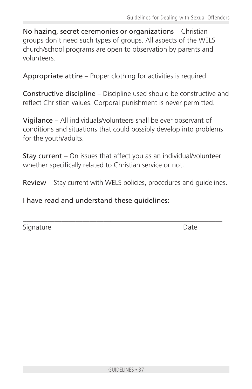No hazing, secret ceremonies or organizations – Christian groups don't need such types of groups. All aspects of the WELS church/school programs are open to observation by parents and volunteers.

Appropriate attire – Proper clothing for activities is required.

Constructive discipline – Discipline used should be constructive and reflect Christian values. Corporal punishment is never permitted.

Vigilance – All individuals/volunteers shall be ever observant of conditions and situations that could possibly develop into problems for the youth/adults.

Stay current – On issues that affect you as an individual/volunteer whether specifically related to Christian service or not.

Review – Stay current with WELS policies, procedures and guidelines.

\_\_\_\_\_\_\_\_\_\_\_\_\_\_\_\_\_\_\_\_\_\_\_\_\_\_\_\_\_\_\_\_\_\_\_\_\_\_\_\_\_\_\_\_\_\_\_\_\_\_\_\_\_\_\_\_\_

I have read and understand these guidelines:

Signature Date Date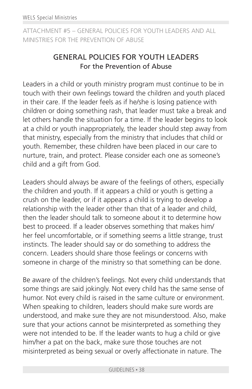ATTACHMENT #5 – GENERAL POLICIES FOR YOUTH LEADERS AND ALL MINISTRIES FOR THE PREVENTION OF ABUSE

## GENERAL POLICIES FOR YOUTH LEADERS For the Prevention of Abuse

Leaders in a child or youth ministry program must continue to be in touch with their own feelings toward the children and youth placed in their care. If the leader feels as if he/she is losing patience with children or doing something rash, that leader must take a break and let others handle the situation for a time. If the leader begins to look at a child or youth inappropriately, the leader should step away from that ministry, especially from the ministry that includes that child or youth. Remember, these children have been placed in our care to nurture, train, and protect. Please consider each one as someone's child and a gift from God.

Leaders should always be aware of the feelings of others, especially the children and youth. If it appears a child or youth is getting a crush on the leader, or if it appears a child is trying to develop a relationship with the leader other than that of a leader and child, then the leader should talk to someone about it to determine how best to proceed. If a leader observes something that makes him/ her feel uncomfortable, or if something seems a little strange, trust instincts. The leader should say or do something to address the concern. Leaders should share those feelings or concerns with someone in charge of the ministry so that something can be done.

Be aware of the children's feelings. Not every child understands that some things are said jokingly. Not every child has the same sense of humor. Not every child is raised in the same culture or environment. When speaking to children, leaders should make sure words are understood, and make sure they are not misunderstood. Also, make sure that your actions cannot be misinterpreted as something they were not intended to be. If the leader wants to hug a child or give him/her a pat on the back, make sure those touches are not misinterpreted as being sexual or overly affectionate in nature. The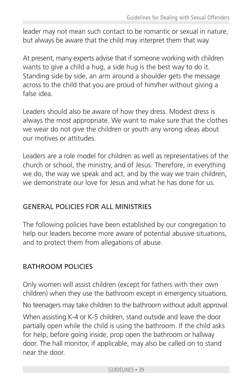leader may not mean such contact to be romantic or sexual in nature, but always be aware that the child may interpret them that way.

At present, many experts advise that if someone working with children wants to give a child a hug, a side hug is the best way to do it. Standing side by side, an arm around a shoulder gets the message across to the child that you are proud of him/her without giving a false idea.

Leaders should also be aware of how they dress. Modest dress is always the most appropriate. We want to make sure that the clothes we wear do not give the children or youth any wrong ideas about our motives or attitudes.

Leaders are a role model for children as well as representatives of the church or school, the ministry, and of Jesus. Therefore, in everything we do, the way we speak and act, and by the way we train children, we demonstrate our love for Jesus and what he has done for us.

#### GENERAL POLICIES FOR ALL MINISTRIES

The following policies have been established by our congregation to help our leaders become more aware of potential abusive situations, and to protect them from allegations of abuse.

#### BATHROOM POLICIES

Only women will assist children (except for fathers with their own children) when they use the bathroom except in emergency situations.

No teenagers may take children to the bathroom without adult approval.

When assisting K-4 or K-5 children, stand outside and leave the door partially open while the child is using the bathroom. If the child asks for help, before going inside, prop open the bathroom or hallway door. The hall monitor, if applicable, may also be called on to stand near the door.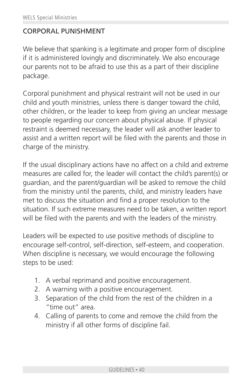#### CORPORAL PUNISHMENT

We believe that spanking is a legitimate and proper form of discipline if it is administered lovingly and discriminately. We also encourage our parents not to be afraid to use this as a part of their discipline package.

Corporal punishment and physical restraint will not be used in our child and youth ministries, unless there is danger toward the child, other children, or the leader to keep from giving an unclear message to people regarding our concern about physical abuse. If physical restraint is deemed necessary, the leader will ask another leader to assist and a written report will be filed with the parents and those in charge of the ministry.

If the usual disciplinary actions have no affect on a child and extreme measures are called for, the leader will contact the child's parent(s) or guardian, and the parent/guardian will be asked to remove the child from the ministry until the parents, child, and ministry leaders have met to discuss the situation and find a proper resolution to the situation. If such extreme measures need to be taken, a written report will be filed with the parents and with the leaders of the ministry.

Leaders will be expected to use positive methods of discipline to encourage self-control, self-direction, self-esteem, and cooperation. When discipline is necessary, we would encourage the following steps to be used:

- 1. A verbal reprimand and positive encouragement.
- 2. A warning with a positive encouragement.
- 3. Separation of the child from the rest of the children in a "time out" area.
- 4. Calling of parents to come and remove the child from the ministry if all other forms of discipline fail.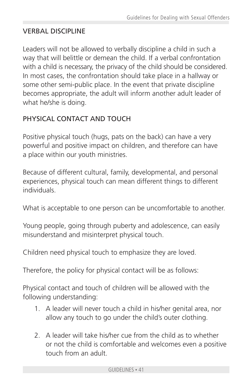## VERBAL DISCIPLINE

Leaders will not be allowed to verbally discipline a child in such a way that will belittle or demean the child. If a verbal confrontation with a child is necessary, the privacy of the child should be considered. In most cases, the confrontation should take place in a hallway or some other semi-public place. In the event that private discipline becomes appropriate, the adult will inform another adult leader of what he/she is doing.

## PHYSICAL CONTACT AND TOUCH

Positive physical touch (hugs, pats on the back) can have a very powerful and positive impact on children, and therefore can have a place within our youth ministries.

Because of different cultural, family, developmental, and personal experiences, physical touch can mean different things to different individuals.

What is acceptable to one person can be uncomfortable to another.

Young people, going through puberty and adolescence, can easily misunderstand and misinterpret physical touch.

Children need physical touch to emphasize they are loved.

Therefore, the policy for physical contact will be as follows:

Physical contact and touch of children will be allowed with the following understanding:

- 1. A leader will never touch a child in his/her genital area, nor allow any touch to go under the child's outer clothing.
- 2. A leader will take his/her cue from the child as to whether or not the child is comfortable and welcomes even a positive touch from an adult.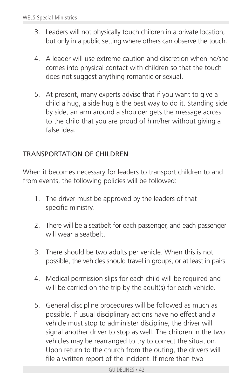- 3. Leaders will not physically touch children in a private location, but only in a public setting where others can observe the touch.
- 4. A leader will use extreme caution and discretion when he/she comes into physical contact with children so that the touch does not suggest anything romantic or sexual.
- 5. At present, many experts advise that if you want to give a child a hug, a side hug is the best way to do it. Standing side by side, an arm around a shoulder gets the message across to the child that you are proud of him/her without giving a false idea.

#### TRANSPORTATION OF CHILDREN

When it becomes necessary for leaders to transport children to and from events, the following policies will be followed:

- 1. The driver must be approved by the leaders of that specific ministry.
- 2. There will be a seatbelt for each passenger, and each passenger will wear a seatbelt.
- 3. There should be two adults per vehicle. When this is not possible, the vehicles should travel in groups, or at least in pairs.
- 4. Medical permission slips for each child will be required and will be carried on the trip by the adult(s) for each vehicle.
- 5. General discipline procedures will be followed as much as possible. If usual disciplinary actions have no effect and a vehicle must stop to administer discipline, the driver will signal another driver to stop as well. The children in the two vehicles may be rearranged to try to correct the situation. Upon return to the church from the outing, the drivers will file a written report of the incident. If more than two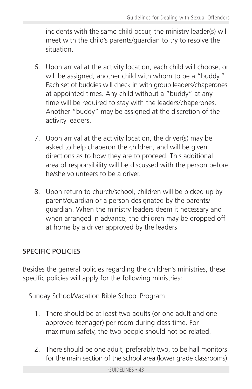incidents with the same child occur, the ministry leader(s) will meet with the child's parents/guardian to try to resolve the situation.

- 6. Upon arrival at the activity location, each child will choose, or will be assigned, another child with whom to be a "buddy." Each set of buddies will check in with group leaders/chaperones at appointed times. Any child without a "buddy" at any time will be required to stay with the leaders/chaperones. Another "buddy" may be assigned at the discretion of the activity leaders.
- 7. Upon arrival at the activity location, the driver(s) may be asked to help chaperon the children, and will be given directions as to how they are to proceed. This additional area of responsibility will be discussed with the person before he/she volunteers to be a driver.
- 8. Upon return to church/school, children will be picked up by parent/guardian or a person designated by the parents/ guardian. When the ministry leaders deem it necessary and when arranged in advance, the children may be dropped off at home by a driver approved by the leaders.

## SPECIFIC POLICIES

Besides the general policies regarding the children's ministries, these specific policies will apply for the following ministries:

Sunday School/Vacation Bible School Program

- 1. There should be at least two adults (or one adult and one approved teenager) per room during class time. For maximum safety, the two people should not be related.
- 2. There should be one adult, preferably two, to be hall monitors for the main section of the school area (lower grade classrooms).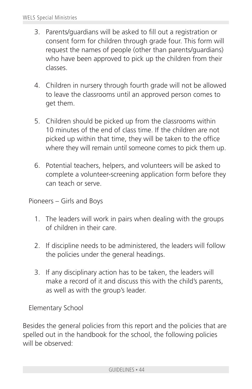- 3. Parents/guardians will be asked to fill out a registration or consent form for children through grade four. This form will request the names of people (other than parents/guardians) who have been approved to pick up the children from their classes.
- 4. Children in nursery through fourth grade will not be allowed to leave the classrooms until an approved person comes to get them.
- 5. Children should be picked up from the classrooms within 10 minutes of the end of class time. If the children are not picked up within that time, they will be taken to the office where they will remain until someone comes to pick them up.
- 6. Potential teachers, helpers, and volunteers will be asked to complete a volunteer-screening application form before they can teach or serve.

Pioneers – Girls and Boys

- 1. The leaders will work in pairs when dealing with the groups of children in their care.
- 2. If discipline needs to be administered, the leaders will follow the policies under the general headings.
- 3. If any disciplinary action has to be taken, the leaders will make a record of it and discuss this with the child's parents, as well as with the group's leader.

Elementary School

Besides the general policies from this report and the policies that are spelled out in the handbook for the school, the following policies will be observed: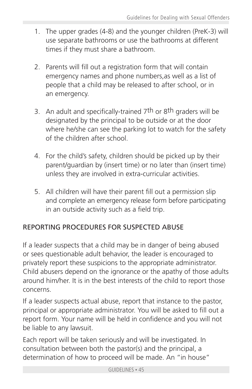- 1. The upper grades (4-8) and the younger children (PreK-3) will use separate bathrooms or use the bathrooms at different times if they must share a bathroom.
- 2. Parents will fill out a registration form that will contain emergency names and phone numbers,as well as a list of people that a child may be released to after school, or in an emergency.
- 3. An adult and specifically-trained 7th or 8th graders will be designated by the principal to be outside or at the door where he/she can see the parking lot to watch for the safety of the children after school.
- 4. For the child's safety, children should be picked up by their parent/guardian by (insert time) or no later than (insert time) unless they are involved in extra-curricular activities.
- 5. All children will have their parent fill out a permission slip and complete an emergency release form before participating in an outside activity such as a field trip.

## REPORTING PROCEDURES FOR SUSPECTED ABUSE

If a leader suspects that a child may be in danger of being abused or sees questionable adult behavior, the leader is encouraged to privately report these suspicions to the appropriate administrator. Child abusers depend on the ignorance or the apathy of those adults around him/her. It is in the best interests of the child to report those concerns.

If a leader suspects actual abuse, report that instance to the pastor, principal or appropriate administrator. You will be asked to fill out a report form. Your name will be held in confidence and you will not be liable to any lawsuit.

Each report will be taken seriously and will be investigated. In consultation between both the pastor(s) and the principal, a determination of how to proceed will be made. An "in house"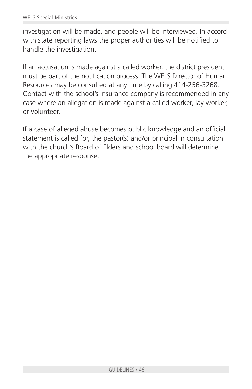investigation will be made, and people will be interviewed. In accord with state reporting laws the proper authorities will be notified to handle the investigation.

If an accusation is made against a called worker, the district president must be part of the notification process. The WELS Director of Human Resources may be consulted at any time by calling 414-256-3268. Contact with the school's insurance company is recommended in any case where an allegation is made against a called worker, lay worker, or volunteer.

If a case of alleged abuse becomes public knowledge and an official statement is called for, the pastor(s) and/or principal in consultation with the church's Board of Elders and school board will determine the appropriate response.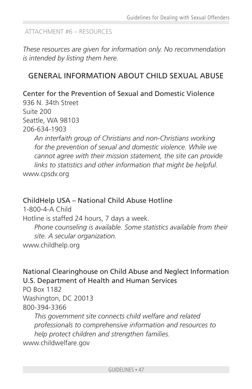#### ATTACHMENT #6 – RESOURCES

*These resources are given for information only. No recommendation is intended by listing them here.*

## GENERAL INFORMATION ABOUT CHILD SEXUAL ABUSE

Center for the Prevention of Sexual and Domestic Violence 936 N. 34th Street Suite 200 Seattle, WA 98103 206-634-1903

*An interfaith group of Christians and non-Christians working for the prevention of sexual and domestic violence. While we cannot agree with their mission statement, the site can provide links to statistics and other information that might be helpful.* www.cpsdv.org

## ChildHelp USA – National Child Abuse Hotline

1-800-4-A Child Hotline is staffed 24 hours, 7 days a week. *Phone counseling is available. Some statistics available from their site. A secular organization.* www.childhelp.org

National Clearinghouse on Child Abuse and Neglect Information U.S. Department of Health and Human Services

PO Box 1182 Washington, DC 20013 800-394-3366

*This government site connects child welfare and related professionals to comprehensive information and resources to help protect children and strengthen families.* www.childwelfare.gov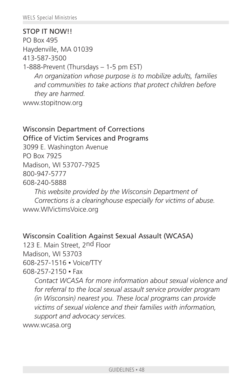STOP IT NOW!! PO Box 495 Haydenville, MA 01039 413-587-3500 1-888-Prevent (Thursdays – 1-5 pm EST) *An organization whose purpose is to mobilize adults, families and communities to take actions that protect children before they are harmed.* www.stopitnow.org

## Wisconsin Department of Corrections

Office of Victim Services and Programs

3099 E. Washington Avenue

PO Box 7925

Madison, WI 53707-7925

800-947-5777

608-240-5888

*This website provided by the Wisconsin Department of Corrections is a clearinghouse especially for victims of abuse.* www.WIVictimsVoice.org

#### Wisconsin Coalition Against Sexual Assault (WCASA)

123 E. Main Street, 2nd Floor Madison, WI 53703 608-257-1516 • Voice/TTY 608-257-2150 • Fax

> *Contact WCASA for more information about sexual violence and for referral to the local sexual assault service provider program (in Wisconsin) nearest you. These local programs can provide victims of sexual violence and their families with information, support and advocacy services.*

www.wcasa.org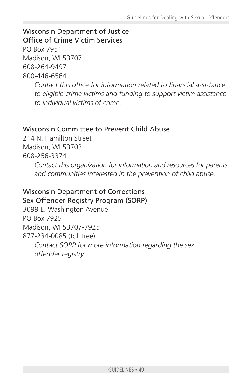Wisconsin Department of Justice Office of Crime Victim Services PO Box 7951 Madison, WI 53707

608-264-9497

800-446-6564

*Contact this office for information related to financial assistance to eligible crime victims and funding to support victim assistance to individual victims of crime.*

## Wisconsin Committee to Prevent Child Abuse

214 N. Hamilton Street Madison, WI 53703

608-256-3374

*Contact this organization for information and resources for parents and communities interested in the prevention of child abuse.*

## Wisconsin Department of Corrections

Sex Offender Registry Program (SORP)

3099 E. Washington Avenue PO Box 7925 Madison, WI 53707-7925 877-234-0085 (toll free) *Contact SORP for more information regarding the sex offender registry.*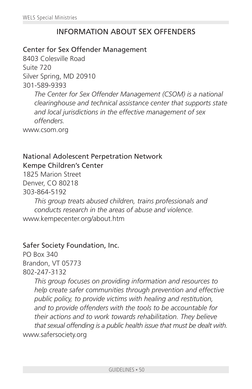## INFORMATION ABOUT SEX OFFENDERS

#### Center for Sex Offender Management

8403 Colesville Road Suite 720 Silver Spring, MD 20910 301-589-9393

> *The Center for Sex Offender Management (CSOM) is a national clearinghouse and technical assistance center that supports state and local jurisdictions in the effective management of sex offenders.*

www.csom.org

#### National Adolescent Perpetration Network Kempe Children's Center

1825 Marion Street Denver, CO 80218 303-864-5192

*This group treats abused children, trains professionals and conducts research in the areas of abuse and violence.* www.kempecenter.org/about.htm

#### Safer Society Foundation, Inc.

PO Box 340 Brandon, VT 05773 802-247-3132

*This group focuses on providing information and resources to help create safer communities through prevention and effective public policy, to provide victims with healing and restitution, and to provide offenders with the tools to be accountable for their actions and to work towards rehabilitation. They believe that sexual offending is a public health issue that must be dealt with.* www.safersociety.org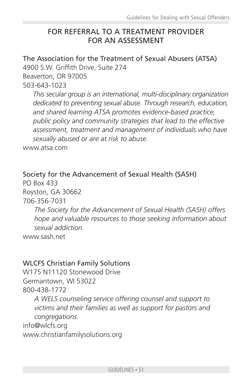## FOR REFERRAL TO A TREATMENT PROVIDER FOR AN ASSESSMENT

The Association for the Treatment of Sexual Abusers (ATSA)

4900 S.W. Griffith Drive, Suite 274

Beaverton, OR 97005

503-643-1023

*This secular group is an international, multi-disciplinary organization dedicated to preventing sexual abuse. Through research, education, and shared learning ATSA promotes evidence-based practice, public policy and community strategies that lead to the effective assessment, treatment and management of individuals who have sexually abused or are at risk to abuse.*

www.atsa.com

Society for the Advancement of Sexual Health (SASH)

PO Box 433 Royston, GA 30662 706-356-7031 *The Society for the Advancement of Sexual Health (SASH) offers hope and valuable resources to those seeking information about sexual addiction.* www.sash.net

#### WLCFS Christian Family Solutions

W175 N11120 Stonewood Drive Germantown, WI 53022 800-438-1772

*A WELS counseling service offering counsel and support to victims and their families as well as support for pastors and congregations.*

info@wlcfs.org www.christianfamilysolutions.org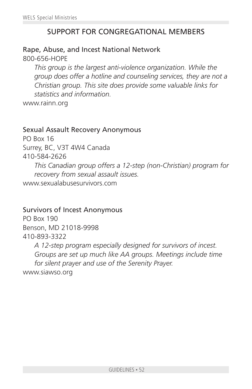## SUPPORT FOR CONGREGATIONAL MEMBERS

#### Rape, Abuse, and Incest National Network 800-656-HOPE

*This group is the largest anti-violence organization. While the group does offer a hotline and counseling services, they are not a Christian group. This site does provide some valuable links for statistics and information.*

www.rainn.org

#### Sexual Assault Recovery Anonymous

PO Box 16 Surrey, BC, V3T 4W4 Canada 410-584-2626 *This Canadian group offers a 12-step (non-Christian) program for recovery from sexual assault issues.* www.sexualabusesurvivors.com

#### Survivors of Incest Anonymous

PO Box 190 Benson, MD 21018-9998 410-893-3322

*A 12-step program especially designed for survivors of incest. Groups are set up much like AA groups. Meetings include time for silent prayer and use of the Serenity Prayer.* www.siawso.org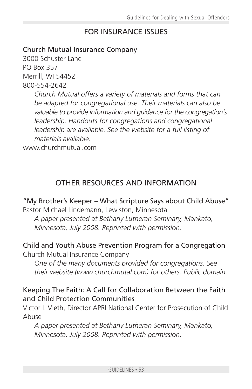## FOR INSURANCE ISSUES

#### Church Mutual Insurance Company

3000 Schuster Lane PO Box 357 Merrill, WI 54452 800-554-2642

> *Church Mutual offers a variety of materials and forms that can be adapted for congregational use. Their materials can also be valuable to provide information and guidance for the congregation's leadership. Handouts for congregations and congregational leadership are available. See the website for a full listing of materials available.*

www.churchmutual.com

## OTHER RESOURCES AND INFORMATION

## "My Brother's Keeper – What Scripture Says about Child Abuse"

Pastor Michael Lindemann, Lewiston, Minnesota

*A paper presented at Bethany Lutheran Seminary, Mankato, Minnesota, July 2008. Reprinted with permission.*

#### Child and Youth Abuse Prevention Program for a Congregation

Church Mutual Insurance Company

*One of the many documents provided for congregations. See their website (www.churchmutal.com) for others. Public domain.*

#### Keeping The Faith: A Call for Collaboration Between the Faith and Child Protection Communities

Victor I. Vieth, Director APRI National Center for Prosecution of Child Abuse

*A paper presented at Bethany Lutheran Seminary, Mankato, Minnesota, July 2008. Reprinted with permission.*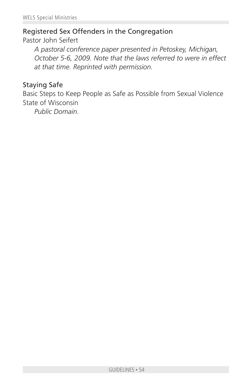### Registered Sex Offenders in the Congregation

Pastor John Seifert

*A pastoral conference paper presented in Petoskey, Michigan, October 5-6, 2009. Note that the laws referred to were in effect at that time. Reprinted with permission.*

#### Staying Safe

Basic Steps to Keep People as Safe as Possible from Sexual Violence State of Wisconsin

*Public Domain.*